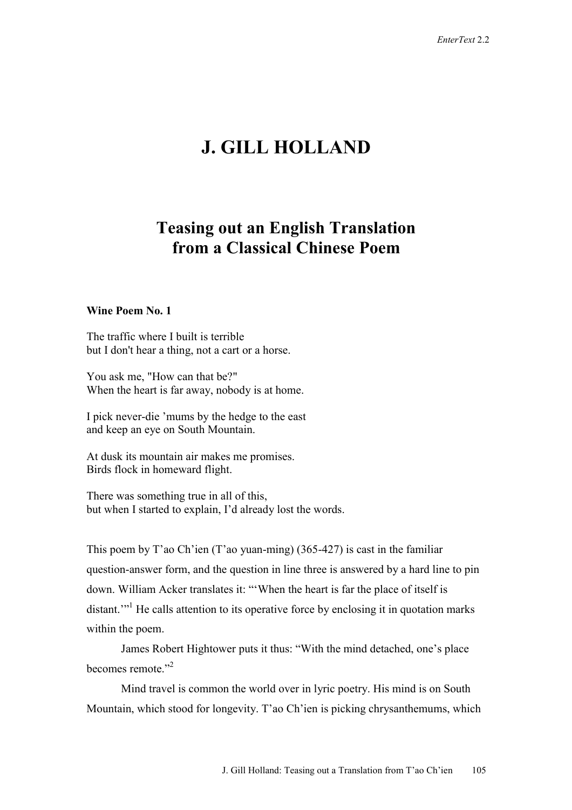# **J. GILL HOLLAND**

# **Teasing out an English Translation from a Classical Chinese Poem**

## **Wine Poem No. 1**

The traffic where I built is terrible but I don't hear a thing, not a cart or a horse.

You ask me, "How can that be?" When the heart is far away, nobody is at home.

I pick never-die 'mums by the hedge to the east and keep an eye on South Mountain.

At dusk its mountain air makes me promises. Birds flock in homeward flight.

There was something true in all of this, but when I started to explain, I'd already lost the words.

This poem by T'ao Ch'ien (T'ao yuan-ming) (365-427) is cast in the familiar question-answer form, and the question in line three is answered by a hard line to pin down. William Acker translates it: "'When the heart is far the place of itself is distant."<sup>1</sup> He calls attention to its operative force by enclosing it in quotation marks within the poem.

James Robert Hightower puts it thus: "With the mind detached, one's place becomes remote."<sup>2</sup>

 Mind travel is common the world over in lyric poetry. His mind is on South Mountain, which stood for longevity. T'ao Ch'ien is picking chrysanthemums, which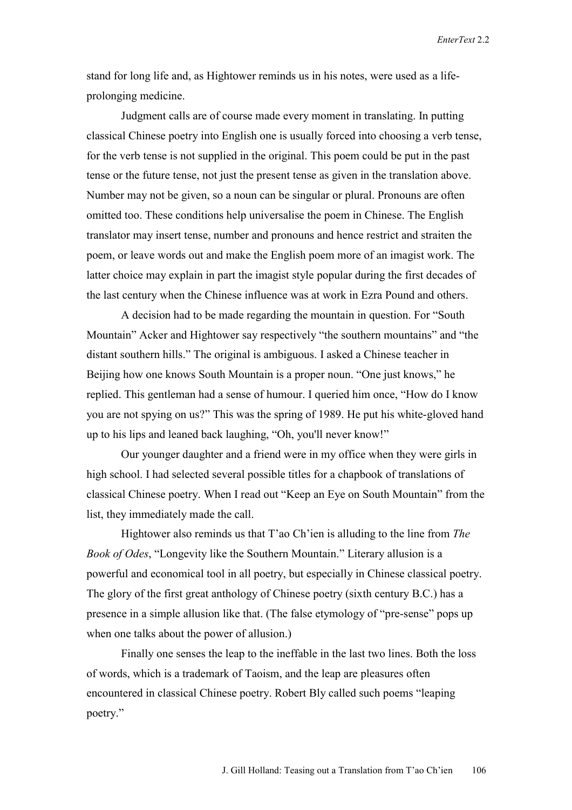*EnterText* 2.2

stand for long life and, as Hightower reminds us in his notes, were used as a lifeprolonging medicine.

 Judgment calls are of course made every moment in translating. In putting classical Chinese poetry into English one is usually forced into choosing a verb tense, for the verb tense is not supplied in the original. This poem could be put in the past tense or the future tense, not just the present tense as given in the translation above. Number may not be given, so a noun can be singular or plural. Pronouns are often omitted too. These conditions help universalise the poem in Chinese. The English translator may insert tense, number and pronouns and hence restrict and straiten the poem, or leave words out and make the English poem more of an imagist work. The latter choice may explain in part the imagist style popular during the first decades of the last century when the Chinese influence was at work in Ezra Pound and others.

A decision had to be made regarding the mountain in question. For "South Mountain" Acker and Hightower say respectively "the southern mountains" and "the distant southern hills." The original is ambiguous. I asked a Chinese teacher in Beijing how one knows South Mountain is a proper noun. "One just knows," he replied. This gentleman had a sense of humour. I queried him once, "How do I know you are not spying on us?" This was the spring of 1989. He put his white-gloved hand up to his lips and leaned back laughing, "Oh, you'll never know!"

Our younger daughter and a friend were in my office when they were girls in high school. I had selected several possible titles for a chapbook of translations of classical Chinese poetry. When I read out "Keep an Eye on South Mountain" from the list, they immediately made the call.

Hightower also reminds us that T'ao Ch'ien is alluding to the line from *The Book of Odes*, "Longevity like the Southern Mountain." Literary allusion is a powerful and economical tool in all poetry, but especially in Chinese classical poetry. The glory of the first great anthology of Chinese poetry (sixth century B.C.) has a presence in a simple allusion like that. (The false etymology of "pre-sense" pops up when one talks about the power of allusion.)

Finally one senses the leap to the ineffable in the last two lines. Both the loss of words, which is a trademark of Taoism, and the leap are pleasures often encountered in classical Chinese poetry. Robert Bly called such poems "leaping poetry."